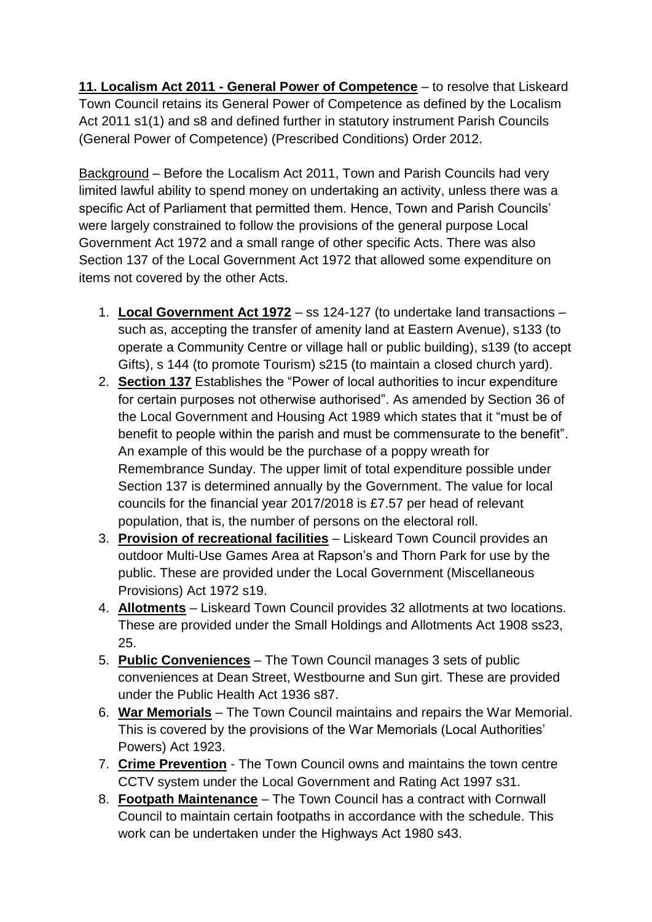**11. Localism Act 2011 - General Power of Competence** – to resolve that Liskeard Town Council retains its General Power of Competence as defined by the Localism Act 2011 s1(1) and s8 and defined further in statutory instrument Parish Councils (General Power of Competence) (Prescribed Conditions) Order 2012.

Background – Before the Localism Act 2011, Town and Parish Councils had very limited lawful ability to spend money on undertaking an activity, unless there was a specific Act of Parliament that permitted them. Hence, Town and Parish Councils' were largely constrained to follow the provisions of the general purpose Local Government Act 1972 and a small range of other specific Acts. There was also Section 137 of the Local Government Act 1972 that allowed some expenditure on items not covered by the other Acts.

- 1. **Local Government Act 1972** ss 124-127 (to undertake land transactions such as, accepting the transfer of amenity land at Eastern Avenue), s133 (to operate a Community Centre or village hall or public building), s139 (to accept Gifts), s 144 (to promote Tourism) s215 (to maintain a closed church yard).
- 2. **Section 137** Establishes the "Power of local authorities to incur expenditure for certain purposes not otherwise authorised". As amended by Section 36 of the Local Government and Housing Act 1989 which states that it "must be of benefit to people within the parish and must be commensurate to the benefit". An example of this would be the purchase of a poppy wreath for Remembrance Sunday. The upper limit of total expenditure possible under Section 137 is determined annually by the Government. The value for local councils for the financial year 2017/2018 is £7.57 per head of relevant population, that is, the number of persons on the electoral roll.
- 3. **Provision of recreational facilities** Liskeard Town Council provides an outdoor Multi-Use Games Area at Rapson's and Thorn Park for use by the public. These are provided under the Local Government (Miscellaneous Provisions) Act 1972 s19.
- 4. **Allotments** Liskeard Town Council provides 32 allotments at two locations. These are provided under the Small Holdings and Allotments Act 1908 ss23, 25.
- 5. **Public Conveniences** The Town Council manages 3 sets of public conveniences at Dean Street, Westbourne and Sun girt. These are provided under the Public Health Act 1936 s87.
- 6. **War Memorials** The Town Council maintains and repairs the War Memorial. This is covered by the provisions of the War Memorials (Local Authorities' Powers) Act 1923.
- 7. **Crime Prevention** The Town Council owns and maintains the town centre CCTV system under the Local Government and Rating Act 1997 s31.
- 8. **Footpath Maintenance** The Town Council has a contract with Cornwall Council to maintain certain footpaths in accordance with the schedule. This work can be undertaken under the Highways Act 1980 s43.